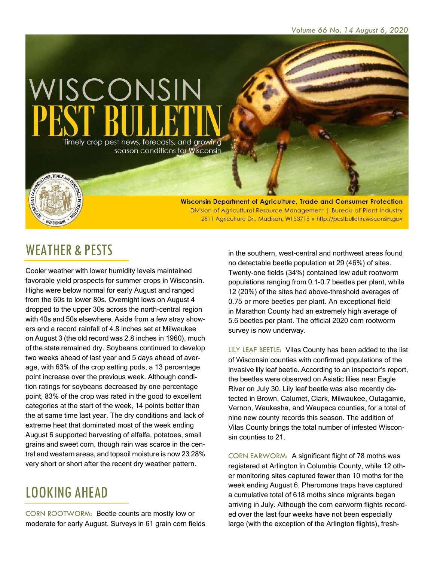

Wisconsin Department of Agriculture, Trade and Consumer Protection Division of Agricultural Resource Management | Bureau of Plant Industry 2811 Agriculture Dr., Madison, WI 53718 . http://pestbulletin.wisconsin.gov

#### WEATHER & PESTS

WISCONSIN

Cooler weather with lower humidity levels maintained favorable yield prospects for summer crops in Wisconsin. Highs were below normal for early August and ranged from the 60s to lower 80s. Overnight lows on August 4 dropped to the upper 30s across the north-central region with 40s and 50s elsewhere. Aside from a few stray showers and a record rainfall of 4.8 inches set at Milwaukee on August 3 (the old record was 2.8 inches in 1960), much of the state remained dry. Soybeans continued to develop two weeks ahead of last year and 5 days ahead of average, with 63% of the crop setting pods, a 13 percentage point increase over the previous week. Although condition ratings for soybeans decreased by one percentage point, 83% of the crop was rated in the good to excellent categories at the start of the week, 14 points better than the at same time last year. The dry conditions and lack of extreme heat that dominated most of the week ending August 6 supported harvesting of alfalfa, potatoes, small grains and sweet corn, though rain was scarce in the central and western areas, and topsoil moisture is now 23-28% very short or short after the recent dry weather pattern.

## LOOKING AHEAD

CORN ROOTWORM: Beetle counts are mostly low or moderate for early August. Surveys in 61 grain corn fields in the southern, west-central and northwest areas found no detectable beetle population at 29 (46%) of sites. Twenty-one fields (34%) contained low adult rootworm populations ranging from 0.1-0.7 beetles per plant, while 12 (20%) of the sites had above-threshold averages of 0.75 or more beetles per plant. An exceptional field in Marathon County had an extremely high average of 5.6 beetles per plant. The official 2020 corn rootworm survey is now underway.

LILY LEAF BEETLE: Vilas County has been added to the list of Wisconsin counties with confirmed populations of the invasive lily leaf beetle. According to an inspector's report, the beetles were observed on Asiatic lilies near Eagle River on July 30. Lily leaf beetle was also recently detected in Brown, Calumet, Clark, Milwaukee, Outagamie, Vernon, Waukesha, and Waupaca counties, for a total of nine new county records this season. The addition of Vilas County brings the total number of infested Wisconsin counties to 21.

CORN EARWORM: A significant flight of 78 moths was registered at Arlington in Columbia County, while 12 other monitoring sites captured fewer than 10 moths for the week ending August 6. Pheromone traps have captured a cumulative total of 618 moths since migrants began arriving in July. Although the corn earworm flights recorded over the last four weeks have not been especially large (with the exception of the Arlington flights), fresh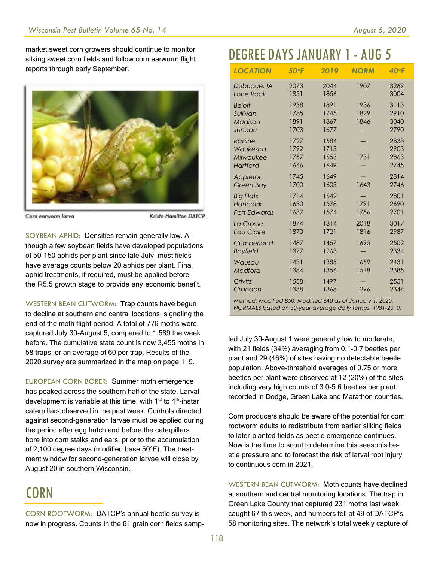market sweet corn growers should continue to monitor silking sweet corn fields and follow corn earworm flight reports through early September.



Corn earworm larva

Krista Hamilton DATCP

SOYBEAN APHID: Densities remain generally low. Although a few soybean fields have developed populations of 50-150 aphids per plant since late July, most fields have average counts below 20 aphids per plant. Final aphid treatments, if required, must be applied before the R5.5 growth stage to provide any economic benefit.

WESTERN BEAN CUTWORM: Trap counts have begun to decline at southern and central locations, signaling the end of the moth flight period. A total of 776 moths were captured July 30-August 5, compared to 1,589 the week before. The cumulative state count is now 3,455 moths in 58 traps, or an average of 60 per trap. Results of the 2020 survey are summarized in the map on page 119.

EUROPEAN CORN BORER: Summer moth emergence has peaked across the southern half of the state. Larval development is variable at this time, with  $1<sup>st</sup>$  to  $4<sup>th</sup>$ -instar caterpillars observed in the past week. Controls directed against second-generation larvae must be applied during the period after egg hatch and before the caterpillars bore into corn stalks and ears, prior to the accumulation of 2,100 degree days (modified base 50°F). The treatment window for second-generation larvae will close by August 20 in southern Wisconsin.

# CORN

CORN ROOTWORM: DATCP's annual beetle survey is now in progress. Counts in the 61 grain corn fields samp-

## DEGREE DAYSJANUARY 1- AUG 5

| <b>LOCATION</b>                                    | 50°F                         | 2019                         | <b>NORM</b>          | $40°$ F                      |
|----------------------------------------------------|------------------------------|------------------------------|----------------------|------------------------------|
| Dubuque, IA                                        | 2073                         | 2044                         | 1907                 | 3269                         |
| Lone Rock                                          | 1851                         | 1856                         |                      | 3004                         |
| <b>Beloit</b><br>Sullivan<br>Madison<br>Juneau     | 1938<br>1785<br>1891<br>1703 | 1891<br>1745<br>1867<br>1677 | 1936<br>1829<br>1846 | 3113<br>2910<br>3040<br>2790 |
| Racine                                             | 1727                         | 1584                         | 1731                 | 2838                         |
| Waukesha                                           | 1792                         | 1713                         |                      | 2903                         |
| Milwaukee                                          | 1757                         | 1653                         |                      | 2863                         |
| <b>Hartford</b>                                    | 1666                         | 1649                         |                      | 2745                         |
| Appleton                                           | 1745                         | 1649                         | 1643                 | 2814                         |
| Green Bay                                          | 1700                         | 1603                         |                      | 2746                         |
| <b>Big Flats</b><br>Hancock<br><b>Port Edwards</b> | 1714<br>1630<br>1637         | 1642<br>1578<br>1574         | 1791<br>1756         | 2801<br>2690<br>2701         |
| La Crosse                                          | 1874                         | 1814                         | 2018                 | 3017                         |
| <b>Eau Claire</b>                                  | 1870                         | 1721                         | 1816                 | 2987                         |
| Cumberland                                         | 1487                         | 1457                         | 1695                 | 2502                         |
| <b>Bayfield</b>                                    | 1377                         | 1263                         |                      | 2334                         |
| Wausau                                             | 1431                         | 1385                         | 1659                 | 2431                         |
| Medford                                            | 1384                         | 1356                         | 1518                 | 2385                         |
| Crivitz                                            | 1558                         | 1497                         | 1296                 | 2551                         |
| Crandon                                            | 1388                         | 1368                         |                      | 2344                         |

*Method: Modified B50; Modified B40 as of January 1, 2020. NORMALS based on 30-year average daily temps, 1981-2010.*

led July 30-August 1 were generally low to moderate, with 21 fields (34%) averaging from 0.1-0.7 beetles per plant and 29 (46%) of sites having no detectable beetle population. Above-threshold averages of 0.75 or more beetles per plant were observed at 12 (20%) of the sites, including very high counts of 3.0-5.6 beetles per plant recorded in Dodge, Green Lake and Marathon counties.

Corn producers should be aware of the potential for corn rootworm adults to redistribute from earlier silking fields to later-planted fields as beetle emergence continues. Now is the time to scout to determine this season's beetle pressure and to forecast the risk of larval root injury to continuous corn in 2021.

WESTERN BEAN CUTWORM: Moth counts have declined at southern and central monitoring locations. The trap in Green Lake County that captured 231 moths last week caught 67 this week, and numbers fell at 49 of DATCP's 58 monitoring sites. The network's total weekly capture of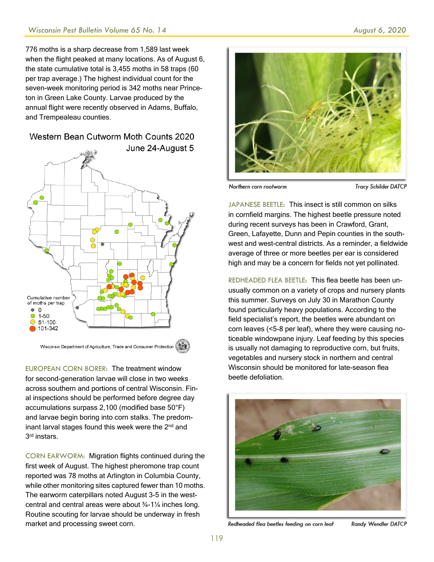776 moths is a sharp decrease from 1,589 last week when the flight peaked at many locations. As of August 6, the state cumulative total is 3,455 moths in 58 traps (60 per trap average.) The highest individual count for the seven-week monitoring period is 342 moths near Princeton in Green Lake County. Larvae produced by the annual flight were recently observed in Adams, Buffalo, and Trempealeau counties.

#### Western Bean Cutworm Moth Counts 2020



EUROPEAN CORN BORER: The treatment window for second-generation larvae will close in two weeks across southern and portions of central Wisconsin. Final inspections should be performed before degree day accumulations surpass 2,100 (modified base 50°F) and larvae begin boring into corn stalks. The predominant larval stages found this week were the  $2<sup>nd</sup>$  and 3 rd instars.

CORN EARWORM: Migration flights continued during the first week of August. The highest pheromone trap count reported was 78 moths at Arlington in Columbia County, while other monitoring sites captured fewer than 10 moths. The earworm caterpillars noted August 3-5 in the westcentral and central areas were about ¾-1¼ inches long. Routine scouting for larvae should be underway in fresh market and processing sweet corn.



Northern corn rootworm

**Tracy Schilder DATCP** 

JAPANESE BEETLE: This insect is still common on silks in cornfield margins. The highest beetle pressure noted during recent surveys has been in Crawford, Grant, Green, Lafayette, Dunn and Pepin counties in the southwest and west-central districts. As a reminder, a fieldwide average of three or more beetles per ear is considered high and may be a concern for fields not yet pollinated.

REDHEADED FLEA BEETLE: This flea beetle has been unusually common on a variety of crops and nursery plants this summer. Surveys on July 30 in Marathon County found particularly heavy populations. According to the field specialist's report, the beetles were abundant on corn leaves (<5-8 per leaf), where they were causing noticeable windowpane injury. Leaf feeding by this species is usually not damaging to reproductive corn, but fruits, vegetables and nursery stock in northern and central Wisconsin should be monitored for late-season flea beetle defoliation.



Redheaded flea beetles feeding on corn leaf

Randy Wendler DATCP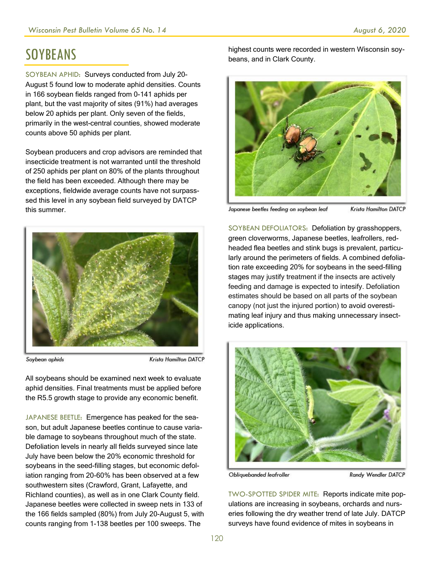# **SOYBEANS**

SOYBEAN APHID: Surveys conducted from July 20- August 5 found low to moderate aphid densities. Counts in 166 soybean fields ranged from 0-141 aphids per plant, but the vast majority of sites (91%) had averages below 20 aphids per plant. Only seven of the fields, primarily in the west-central counties, showed moderate counts above 50 aphids per plant.

Soybean producers and crop advisors are reminded that insecticide treatment is not warranted until the threshold of 250 aphids per plant on 80% of the plants throughout the field has been exceeded. Although there may be exceptions, fieldwide average counts have not surpasssed this level in any soybean field surveyed by DATCP this summer.



Soybean aphids

Krista Hamilton DATCP

All soybeans should be examined next week to evaluate aphid densities. Final treatments must be applied before the R5.5 growth stage to provide any economic benefit.

JAPANESE BEETLE: Emergence has peaked for the season, but adult Japanese beetles continue to cause variable damage to soybeans throughout much of the state. Defoliation levels in nearly all fields surveyed since late July have been below the 20% economic threshold for soybeans in the seed-filling stages, but economic defoliation ranging from 20-60% has been observed at a few southwestern sites (Crawford, Grant, Lafayette, and Richland counties), as well as in one Clark County field. Japanese beetles were collected in sweep nets in 133 of the 166 fields sampled (80%) from July 20-August 5, with counts ranging from 1-138 beetles per 100 sweeps. The

highest counts were recorded in western Wisconsin soybeans, and in Clark County.



Japanese beetles feeding on soybean leaf **Krista Hamilton DATCP** 

SOYBEAN DEFOLIATORS: Defoliation by grasshoppers, green cloverworms, Japanese beetles, leafrollers, redheaded flea beetles and stink bugs is prevalent, particularly around the perimeters of fields. A combined defoliation rate exceeding 20% for soybeans in the seed-filling stages may justify treatment if the insects are actively feeding and damage is expected to intesify. Defoliation estimates should be based on all parts of the soybean canopy (not just the injured portion) to avoid overestimating leaf injury and thus making unnecessary insecticide applications.



Obliquebanded leafroller

Randy Wendler DATCP

TWO-SPOTTED SPIDER MITE: Reports indicate mite populations are increasing in soybeans, orchards and nurseries following the dry weather trend of late July. DATCP surveys have found evidence of mites in soybeans in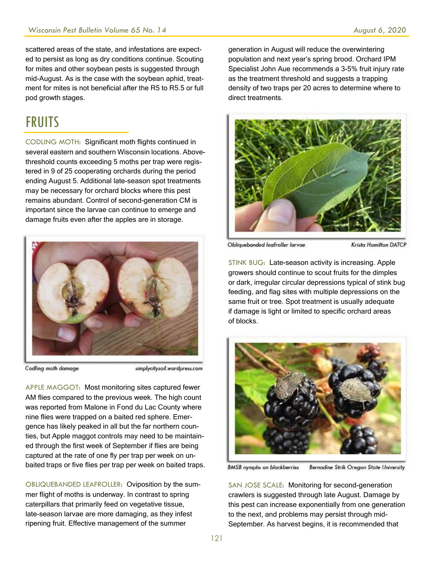scattered areas of the state, and infestations are expected to persist as long as dry conditions continue. Scouting for mites and other soybean pests is suggested through mid-August. As is the case with the soybean aphid, treatment for mites is not beneficial after the R5 to R5.5 or full pod growth stages.

#### **FRUITS**

CODLING MOTH: Significant moth flights continued in several eastern and southern Wisconsin locations. Abovethreshold counts exceeding 5 moths per trap were registered in 9 of 25 cooperating orchards during the period ending August 5. Additional late-season spot treatments may be necessary for orchard blocks where this pest remains abundant. Control of second-generation CM is important since the larvae can continue to emerge and damage fruits even after the apples are in storage.



Codling moth damage

simplycitysoil.wordpress.com

APPLE MAGGOT: Most monitoring sites captured fewer AM flies compared to the previous week. The high count was reported from Malone in Fond du Lac County where nine flies were trapped on a baited red sphere. Emergence has likely peaked in all but the far northern counties, but Apple maggot controls may need to be maintained through the first week of September if flies are being captured at the rate of one fly per trap per week on unbaited traps or five flies per trap per week on baited traps.

OBLIQUEBANDED LEAFROLLER: Oviposition by the summer flight of moths is underway. In contrast to spring caterpillars that primarily feed on vegetative tissue, late-season larvae are more damaging, as they infest ripening fruit. Effective management of the summer

generation in August will reduce the overwintering population and next year's spring brood. Orchard IPM Specialist John Aue recommends a 3-5% fruit injury rate as the treatment threshold and suggests a trapping density of two traps per 20 acres to determine where to direct treatments.



Obliquebanded leafroller larvae

Krista Hamilton DATCP

STINK BUG: Late-season activity is increasing. Apple growers should continue to scout fruits for the dimples or dark, irregular circular depressions typical of stink bug feeding, and flag sites with multiple depressions on the same fruit or tree. Spot treatment is usually adequate if damage is light or limited to specific orchard areas of blocks.



**BMSB** nymphs on blackberries **Bernadine Strik Oregon State University** 

SAN JOSE SCALE: Monitoring for second-generation crawlers is suggested through late August. Damage by this pest can increase exponentially from one generation to the next, and problems may persist through mid-September. As harvest begins, it is recommended that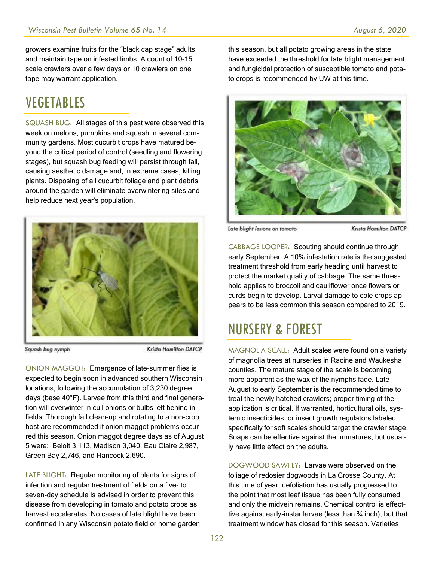growers examine fruits for the "black cap stage" adults and maintain tape on infested limbs. A count of 10-15 scale crawlers over a few days or 10 crawlers on one tape may warrant application.

## VEGETABLES

SQUASH BUG: All stages of this pest were observed this week on melons, pumpkins and squash in several community gardens. Most cucurbit crops have matured beyond the critical period of control (seedling and flowering stages), but squash bug feeding will persist through fall, causing aesthetic damage and, in extreme cases, killing plants. Disposing of all cucurbit foliage and plant debris around the garden will eliminate overwintering sites and help reduce next year's population.



Squash bug nymph

**Krista Hamilton DATCP** 

ONION MAGGOT: Emergence of late-summer flies is expected to begin soon in advanced southern Wisconsin locations, following the accumulation of 3,230 degree days (base 40°F). Larvae from this third and final generation will overwinter in cull onions or bulbs left behind in fields. Thorough fall clean-up and rotating to a non-crop host are recommended if onion maggot problems occurred this season. Onion maggot degree days as of August 5 were: Beloit 3,113, Madison 3,040, Eau Claire 2,987, Green Bay 2,746, and Hancock 2,690.

LATE BLIGHT: Regular monitoring of plants for signs of infection and regular treatment of fields on a five- to seven-day schedule is advised in order to prevent this disease from developing in tomato and potato crops as harvest accelerates. No cases of late blight have been confirmed in any Wisconsin potato field or home garden this season, but all potato growing areas in the state have exceeded the threshold for late blight management and fungicidal protection of susceptible tomato and potato crops is recommended by UW at this time.



Late blight lesions on tomato

Krista Hamilton DATCP

CABBAGE LOOPER: Scouting should continue through early September. A 10% infestation rate is the suggested treatment threshold from early heading until harvest to protect the market quality of cabbage. The same threshold applies to broccoli and cauliflower once flowers or curds begin to develop. Larval damage to cole crops appears to be less common this season compared to 2019.

# NURSERY & FOREST

MAGNOLIA SCALE: Adult scales were found on a variety of magnolia trees at nurseries in Racine and Waukesha counties. The mature stage of the scale is becoming more apparent as the wax of the nymphs fade. Late August to early September is the recommended time to treat the newly hatched crawlers; proper timing of the application is critical. If warranted, horticultural oils, systemic insecticides, or insect growth regulators labeled specifically for soft scales should target the crawler stage. Soaps can be effective against the immatures, but usually have little effect on the adults.

DOGWOOD SAWFLY: Larvae were observed on the foliage of redosier dogwoods in La Crosse County. At this time of year, defoliation has usually progressed to the point that most leaf tissue has been fully consumed and only the midvein remains. Chemical control is effecttive against early-instar larvae (less than ¾ inch), but that treatment window has closed for this season. Varieties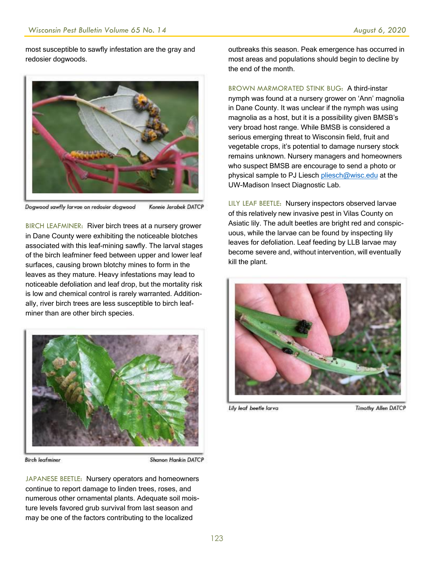most susceptible to sawfly infestation are the gray and redosier dogwoods.



Dogwood sawfly larvae on redosier dogwood Konnie Jerabek DATCP

BIRCH LEAFMINER: River birch trees at a nursery grower in Dane County were exhibiting the noticeable blotches associated with this leaf-mining sawfly. The larval stages of the birch leafminer feed between upper and lower leaf surfaces, causing brown blotchy mines to form in the leaves as they mature. Heavy infestations may lead to noticeable defoliation and leaf drop, but the mortality risk is low and chemical control is rarely warranted. Additionally, river birch trees are less susceptible to birch leafminer than are other birch species.



**Birch leafminer** 

Shanon Hankin DATCP

JAPANESE BEETLE: Nursery operators and homeowners continue to report damage to linden trees, roses, and numerous other ornamental plants. Adequate soil moisture levels favored grub survival from last season and may be one of the factors contributing to the localized

outbreaks this season. Peak emergence has occurred in most areas and populations should begin to decline by the end of the month.

BROWN MARMORATED STINK BUG: A third-instar nymph was found at a nursery grower on 'Ann' magnolia in Dane County. It was unclear if the nymph was using magnolia as a host, but it is a possibility given BMSB's very broad host range. While BMSB is considered a serious emerging threat to Wisconsin field, fruit and vegetable crops, it's potential to damage nursery stock remains unknown. Nursery managers and homeowners who suspect BMSB are encourage to send a photo or physical sample to PJ Liesch [pliesch@wisc.edu](mailto:pliesch@wisc.edu) at the UW-Madison Insect Diagnostic Lab.

LILY LEAF BEETLE: Nursery inspectors observed larvae of this relatively new invasive pest in Vilas County on Asiatic lily. The adult beetles are bright red and conspicuous, while the larvae can be found by inspecting lily leaves for defoliation. Leaf feeding by LLB larvae may become severe and, without intervention, will eventually kill the plant.



Lily leaf beetle larva

**Timothy Allen DATCP**